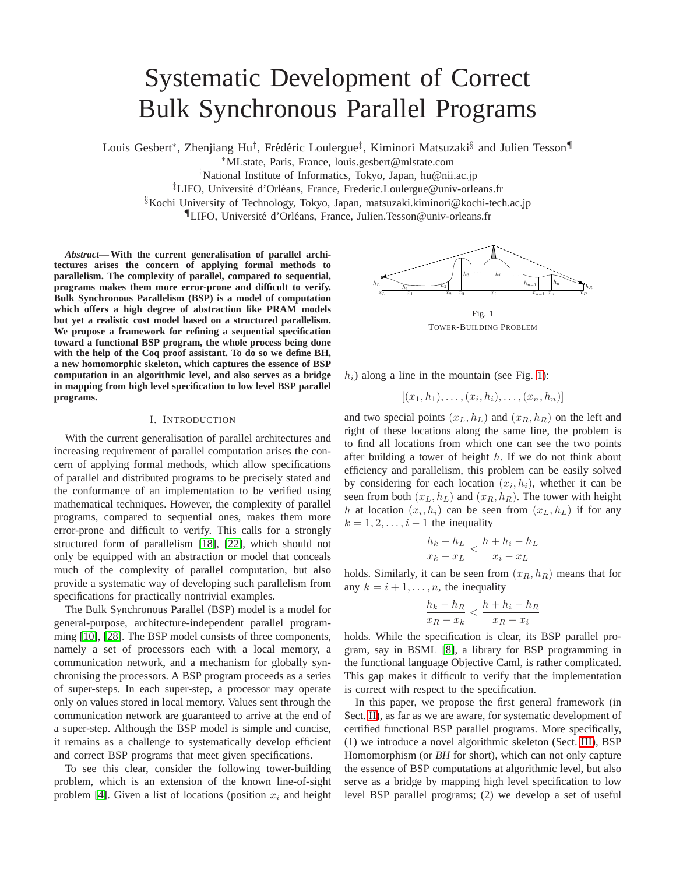# Systematic Development of Correct Bulk Synchronous Parallel Programs

Louis Gesbert\*, Zhenjiang Hu<sup>†</sup>, Frédéric Loulergue<sup>‡</sup>, Kiminori Matsuzaki<sup>§</sup> and Julien Tesson¶

<sup>∗</sup>MLstate, Paris, France, louis.gesbert@mlstate.com

†National Institute of Informatics, Tokyo, Japan, hu@nii.ac.jp

<sup>‡</sup>LIFO, Université d'Orléans, France, Frederic.Loulergue@univ-orleans.fr

§Kochi University of Technology, Tokyo, Japan, matsuzaki.kiminori@kochi-tech.ac.jp

"LIFO, Université d'Orléans, France, Julien.Tesson@univ-orleans.fr

*Abstract***— With the current generalisation of parallel architectures arises the concern of applying formal methods to parallelism. The complexity of parallel, compared to sequential, programs makes them more error-prone and difficult to verify. Bulk Synchronous Parallelism (BSP) is a model of computation which offers a high degree of abstraction like PRAM models but yet a realistic cost model based on a structured parallelism. We propose a framework for refining a sequential specification toward a functional BSP program, the whole process being done with the help of the Coq proof assistant. To do so we define BH, a new homomorphic skeleton, which captures the essence of BSP computation in an algorithmic level, and also serves as a bridge in mapping from high level specification to low level BSP parallel programs.**

## I. INTRODUCTION

With the current generalisation of parallel architectures and increasing requirement of parallel computation arises the concern of applying formal methods, which allow specifications of parallel and distributed programs to be precisely stated and the conformance of an implementation to be verified using mathematical techniques. However, the complexity of parallel programs, compared to sequential ones, makes them more error-prone and difficult to verify. This calls for a strongly structured form of parallelism [\[18\]](#page-8-0), [\[22\]](#page-8-1), which should not only be equipped with an abstraction or model that conceals much of the complexity of parallel computation, but also provide a systematic way of developing such parallelism from specifications for practically nontrivial examples.

The Bulk Synchronous Parallel (BSP) model is a model for general-purpose, architecture-independent parallel programming [\[10\]](#page-8-2), [\[28\]](#page-8-3). The BSP model consists of three components, namely a set of processors each with a local memory, a communication network, and a mechanism for globally synchronising the processors. A BSP program proceeds as a series of super-steps. In each super-step, a processor may operate only on values stored in local memory. Values sent through the communication network are guaranteed to arrive at the end of a super-step. Although the BSP model is simple and concise, it remains as a challenge to systematically develop efficient and correct BSP programs that meet given specifications.

To see this clear, consider the following tower-building problem, which is an extension of the known line-of-sight problem [\[4\]](#page-8-4). Given a list of locations (position  $x_i$  and height



<span id="page-0-0"></span>TOWER-BUILDING PROBLEM

 $h_i$ ) along a line in the mountain (see Fig. [1\)](#page-0-0):

$$
[(x_1,h_1),\ldots,(x_i,h_i),\ldots,(x_n,h_n)]
$$

and two special points  $(x_L, h_L)$  and  $(x_R, h_R)$  on the left and right of these locations along the same line, the problem is to find all locations from which one can see the two points after building a tower of height  $h$ . If we do not think about efficiency and parallelism, this problem can be easily solved by considering for each location  $(x_i, h_i)$ , whether it can be seen from both  $(x_L, h_L)$  and  $(x_R, h_R)$ . The tower with height h at location  $(x_i, h_i)$  can be seen from  $(x_L, h_L)$  if for any  $k = 1, 2, \ldots, i - 1$  the inequality

$$
\frac{h_k - h_L}{x_k - x_L} < \frac{h + h_i - h_L}{x_i - x_L}
$$

holds. Similarly, it can be seen from  $(x_R, h_R)$  means that for any  $k = i + 1, \ldots, n$ , the inequality

$$
\frac{h_k - h_R}{x_R - x_k} < \frac{h + h_i - h_R}{x_R - x_i}
$$

holds. While the specification is clear, its BSP parallel program, say in BSML [\[8\]](#page-8-5), a library for BSP programming in the functional language Objective Caml, is rather complicated. This gap makes it difficult to verify that the implementation is correct with respect to the specification.

In this paper, we propose the first general framework (in Sect. [II\)](#page-1-0), as far as we are aware, for systematic development of certified functional BSP parallel programs. More specifically, (1) we introduce a novel algorithmic skeleton (Sect. [III\)](#page-1-1), BSP Homomorphism (or *BH* for short), which can not only capture the essence of BSP computations at algorithmic level, but also serve as a bridge by mapping high level specification to low level BSP parallel programs; (2) we develop a set of useful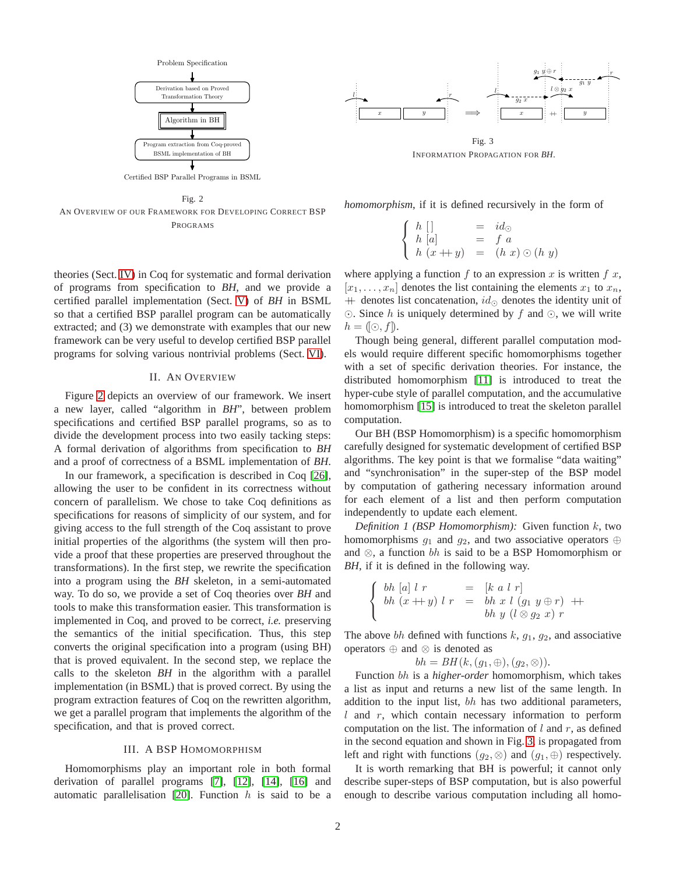

Certified BSP Parallel Programs in BSML

<span id="page-1-2"></span>Fig. 2 AN OVERVIEW OF OUR FRAMEWORK FOR DEVELOPING CORRECT BSP PROGRAMS

theories (Sect. [IV\)](#page-2-0) in Coq for systematic and formal derivation of programs from specification to *BH*, and we provide a certified parallel implementation (Sect. [V\)](#page-3-0) of *BH* in BSML so that a certified BSP parallel program can be automatically extracted; and (3) we demonstrate with examples that our new framework can be very useful to develop certified BSP parallel programs for solving various nontrivial problems (Sect. [VI\)](#page-7-0).

## II. AN OVERVIEW

<span id="page-1-0"></span>Figure [2](#page-1-2) depicts an overview of our framework. We insert a new layer, called "algorithm in *BH*", between problem specifications and certified BSP parallel programs, so as to divide the development process into two easily tacking steps: A formal derivation of algorithms from specification to *BH* and a proof of correctness of a BSML implementation of *BH*.

In our framework, a specification is described in Coq [\[26\]](#page-8-6), allowing the user to be confident in its correctness without concern of parallelism. We chose to take Coq definitions as specifications for reasons of simplicity of our system, and for giving access to the full strength of the Coq assistant to prove initial properties of the algorithms (the system will then provide a proof that these properties are preserved throughout the transformations). In the first step, we rewrite the specification into a program using the *BH* skeleton, in a semi-automated way. To do so, we provide a set of Coq theories over *BH* and tools to make this transformation easier. This transformation is implemented in Coq, and proved to be correct, *i.e.* preserving the semantics of the initial specification. Thus, this step converts the original specification into a program (using BH) that is proved equivalent. In the second step, we replace the calls to the skeleton *BH* in the algorithm with a parallel implementation (in BSML) that is proved correct. By using the program extraction features of Coq on the rewritten algorithm, we get a parallel program that implements the algorithm of the specification, and that is proved correct.

# III. A BSP HOMOMORPHISM

<span id="page-1-1"></span>Homomorphisms play an important role in both formal derivation of parallel programs [\[7\]](#page-8-7), [\[12\]](#page-8-8), [\[14\]](#page-8-9), [\[16\]](#page-8-10) and automatic parallelisation [\[20\]](#page-8-11). Function  $h$  is said to be a



<span id="page-1-3"></span>INFORMATION PROPAGATION FOR *BH*.

*homomorphism*, if it is defined recursively in the form of

$$
\begin{cases}\nh\begin{bmatrix}\nh\end{bmatrix} & = & id_{\odot} \\
h\begin{bmatrix}\na\end{bmatrix} & = & f\ a \\
h\begin{bmatrix}\nx+y\n\end{bmatrix} & = & (h\ x) \odot (h\ y)\n\end{cases}
$$

where applying a function  $f$  to an expression  $x$  is written  $f(x)$ ,  $[x_1, \ldots, x_n]$  denotes the list containing the elements  $x_1$  to  $x_n$ ,  $+$  denotes list concatenation,  $id_{\odot}$  denotes the identity unit of ⊙. Since h is uniquely determined by f and ⊙, we will write  $h = (\mathbb{O}, f).$ 

Though being general, different parallel computation models would require different specific homomorphisms together with a set of specific derivation theories. For instance, the distributed homomorphism [\[11\]](#page-8-12) is introduced to treat the hyper-cube style of parallel computation, and the accumulative homomorphism [\[15\]](#page-8-13) is introduced to treat the skeleton parallel computation.

Our BH (BSP Homomorphism) is a specific homomorphism carefully designed for systematic development of certified BSP algorithms. The key point is that we formalise "data waiting" and "synchronisation" in the super-step of the BSP model by computation of gathering necessary information around for each element of a list and then perform computation independently to update each element.

<span id="page-1-4"></span>*Definition 1 (BSP Homomorphism):* Given function k, two homomorphisms  $g_1$  and  $g_2$ , and two associative operators ⊕ and  $\otimes$ , a function bh is said to be a BSP Homomorphism or *BH*, if it is defined in the following way.

$$
\begin{cases}\n bh [a] l r &= [k a l r] \\
 bh (x + y) l r &= bh x l (g_1 y \oplus r) + h h y (l \otimes g_2 x) r\n\end{cases}
$$

The above bh defined with functions  $k$ ,  $g_1$ ,  $g_2$ , and associative operators ⊕ and ⊗ is denoted as

$$
bh = BH(k, (g_1, \oplus), (g_2, \otimes)).
$$

Function bh is a *higher-order* homomorphism, which takes a list as input and returns a new list of the same length. In addition to the input list, bh has two additional parameters,  $l$  and  $r$ , which contain necessary information to perform computation on the list. The information of  $l$  and  $r$ , as defined in the second equation and shown in Fig. [3,](#page-1-3) is propagated from left and right with functions  $(g_2, \otimes)$  and  $(g_1, \oplus)$  respectively.

It is worth remarking that BH is powerful; it cannot only describe super-steps of BSP computation, but is also powerful enough to describe various computation including all homo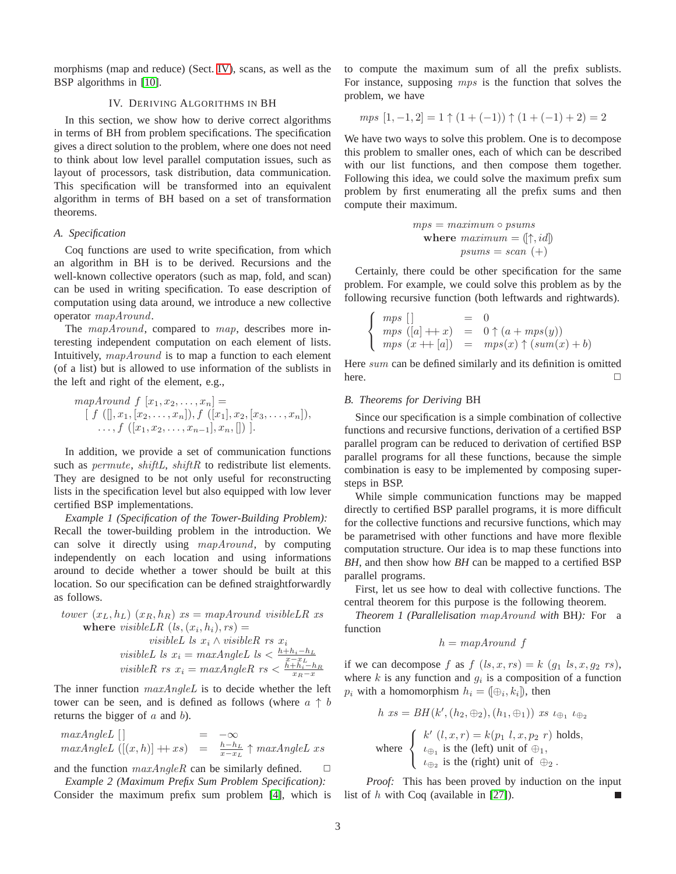<span id="page-2-0"></span>morphisms (map and reduce) (Sect. [IV\)](#page-2-0), scans, as well as the BSP algorithms in [\[10\]](#page-8-2).

# IV. DERIVING ALGORITHMS IN BH

In this section, we show how to derive correct algorithms in terms of BH from problem specifications. The specification gives a direct solution to the problem, where one does not need to think about low level parallel computation issues, such as layout of processors, task distribution, data communication. This specification will be transformed into an equivalent algorithm in terms of BH based on a set of transformation theorems.

### *A. Specification*

Coq functions are used to write specification, from which an algorithm in BH is to be derived. Recursions and the well-known collective operators (such as map, fold, and scan) can be used in writing specification. To ease description of computation using data around, we introduce a new collective operator mapAround.

The mapAround, compared to map, describes more interesting independent computation on each element of lists. Intuitively, mapAround is to map a function to each element (of a list) but is allowed to use information of the sublists in the left and right of the element, e.g.,

mapAround 
$$
f[x_1, x_2,...,x_n] =
$$
  
\n
$$
[f ([], x_1, [x_2,...,x_n]), f ([x_1], x_2, [x_3,...,x_n]),
$$
\n
$$
..., f ([x_1, x_2,...,x_{n-1}], x_n, []).
$$

In addition, we provide a set of communication functions such as *permute*, *shiftL*, *shiftR* to redistribute list elements. They are designed to be not only useful for reconstructing lists in the specification level but also equipped with low lever certified BSP implementations.

*Example 1 (Specification of the Tower-Building Problem):* Recall the tower-building problem in the introduction. We can solve it directly using mapAround, by computing independently on each location and using informations around to decide whether a tower should be built at this location. So our specification can be defined straightforwardly as follows.

*lower* 
$$
(x_L, h_L)
$$
  $(x_R, h_R)$   $xs = mapAround visibleLR$  *xs*  
\n**where** *visibleLR*  $(l_s, (x_i, h_i), rs) =$   
\n*visibleL*  $ls$   $x_i \wedge visibleR$  *rs*  $x_i$   
\n*visibleL*  $ls$   $x_i = maxAngleL$   $ls < \frac{h + h_i - h_L}{x - x_L}$   
\n*visibleR rs*  $x_i = maxAngleR$  *rs*  $< \frac{h + h_i - h_R}{x_R - x}$ 

The inner function  $maxAngleL$  is to decide whether the left tower can be seen, and is defined as follows (where  $a \uparrow b$ returns the bigger of  $a$  and  $b$ ).

$$
\begin{array}{rcl}\n\max AngleL \; [ ] & = & -\infty \\
\max AngleL \; ([(x,h)] + xs) & = & \frac{h-h_L}{x - x_L} \uparrow maxAngleL \; xs\n\end{array}
$$

and the function  $maxAngleR$  can be similarly defined.  $\square$ 

*Example 2 (Maximum Prefix Sum Problem Specification):* Consider the maximum prefix sum problem [\[4\]](#page-8-4), which is list of h with Coq (available in [\[27\]](#page-8-14)).

to compute the maximum sum of all the prefix sublists. For instance, supposing mps is the function that solves the problem, we have

$$
mps [1, -1, 2] = 1 \uparrow (1 + (-1)) \uparrow (1 + (-1) + 2) = 2
$$

We have two ways to solve this problem. One is to decompose this problem to smaller ones, each of which can be described with our list functions, and then compose them together. Following this idea, we could solve the maximum prefix sum problem by first enumerating all the prefix sums and then compute their maximum.

$$
mps = maximum \circ psums
$$
  
where  $maximum = (\uparrow, id)$   

$$
psums = scan +
$$

Certainly, there could be other specification for the same problem. For example, we could solve this problem as by the following recursive function (both leftwards and rightwards).

$$
\begin{cases}\n mps \n\begin{bmatrix}\n1 & = & 0 \\
 mps \n\begin{bmatrix}\n(a) + x \\
mps \n\end{bmatrix} & = & 0 \uparrow (a + mps(y)) \\
 mps \n\begin{bmatrix}\n(x + \lfloor a \rfloor) & = & mps(x) \uparrow (sum(x) + b)\n\end{bmatrix}\n\end{cases}
$$

Here sum can be defined similarly and its definition is omitted  $here.$ 

## *B. Theorems for Deriving* BH

Since our specification is a simple combination of collective functions and recursive functions, derivation of a certified BSP parallel program can be reduced to derivation of certified BSP parallel programs for all these functions, because the simple combination is easy to be implemented by composing supersteps in BSP.

While simple communication functions may be mapped directly to certified BSP parallel programs, it is more difficult for the collective functions and recursive functions, which may be parametrised with other functions and have more flexible computation structure. Our idea is to map these functions into *BH*, and then show how *BH* can be mapped to a certified BSP parallel programs.

First, let us see how to deal with collective functions. The central theorem for this purpose is the following theorem.

<span id="page-2-1"></span>*Theorem 1 (Parallelisation* mapAround *with* BH*):* For a function

$$
h = mapAround f
$$

if we can decompose f as  $f (ls, x, rs) = k (g_1 ls, x, g_2 rs)$ , where  $k$  is any function and  $g_i$  is a composition of a function  $p_i$  with a homomorphism  $h_i = (\bigoplus_i, k_i]$ , then

$$
h\ \text{xs}=BH(k',(h_2,\oplus_2),(h_1,\oplus_1))\ \text{xs}\ \iota_{\oplus_1}\ \iota_{\oplus_2}
$$

where 
$$
\begin{cases} k'(l, x, r) = k(p_1 l, x, p_2 r) \text{ holds,} \\ \iota_{\bigoplus_1} \text{ is the (left) unit of } \bigoplus_1, \\ \iota_{\bigoplus_2} \text{ is the (right) unit of } \bigoplus_2. \end{cases}
$$

*Proof:* This has been proved by induction on the input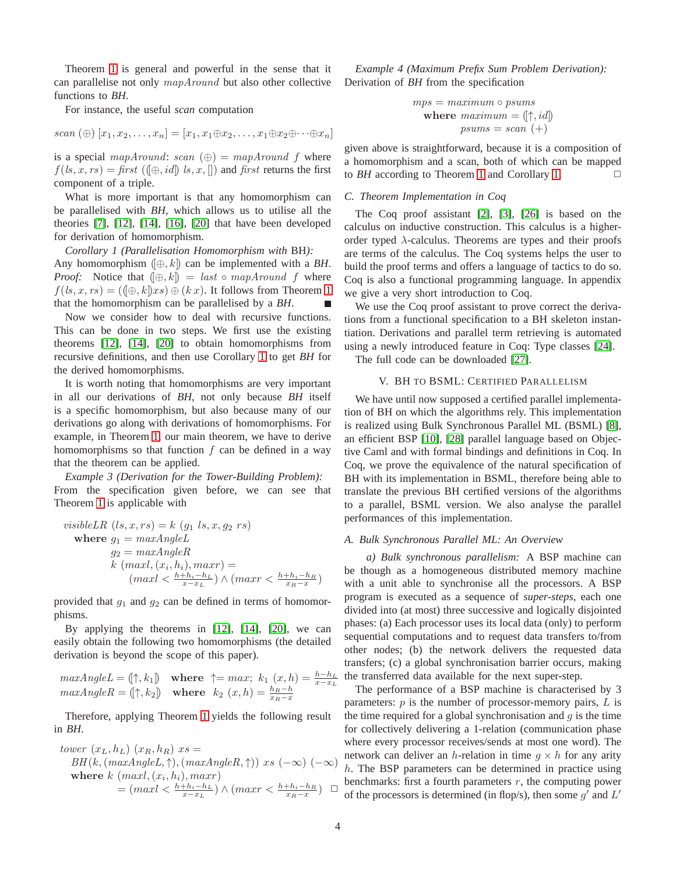Theorem [1](#page-2-1) is general and powerful in the sense that it can parallelise not only mapAround but also other collective functions to *BH*.

For instance, the useful *scan* computation

$$
scan (\oplus) [x_1, x_2, \ldots, x_n] = [x_1, x_1 \oplus x_2, \ldots, x_1 \oplus x_2 \oplus \cdots \oplus x_n]
$$

is a special mapAround: scan  $(\oplus) = mapAround$  f where  $f(1, x, rs) = \text{first } (\text{[} \oplus, \text{id} \text{] } \text{ls}, x, \text{[]})$  and first returns the first component of a triple.

What is more important is that any homomorphism can be parallelised with *BH*, which allows us to utilise all the theories [\[7\]](#page-8-7), [\[12\]](#page-8-8), [\[14\]](#page-8-9), [\[16\]](#page-8-10), [\[20\]](#page-8-11) that have been developed for derivation of homomorphism.

<span id="page-3-1"></span>*Corollary 1 (Parallelisation Homomorphism with* BH*):* Any homomorphism  $(\oplus, k)$  can be implemented with a *BH*. *Proof:* Notice that  $(\oplus, k) = last \circ map Around$  f where  $f(1, x, rs) = (\langle \bigoplus_k k \rangle x s) \oplus (k x)$ . It follows from Theorem [1](#page-2-1) that the homomorphism can be parallelised by a *BH*. г

Now we consider how to deal with recursive functions. This can be done in two steps. We first use the existing theorems [\[12\]](#page-8-8), [\[14\]](#page-8-9), [\[20\]](#page-8-11) to obtain homomorphisms from recursive definitions, and then use Corollary [1](#page-3-1) to get *BH* for the derived homomorphisms.

It is worth noting that homomorphisms are very important in all our derivations of *BH*, not only because *BH* itself is a specific homomorphism, but also because many of our derivations go along with derivations of homomorphisms. For example, in Theorem [1,](#page-2-1) our main theorem, we have to derive homomorphisms so that function  $f$  can be defined in a way that the theorem can be applied.

*Example 3 (Derivation for the Tower-Building Problem):* From the specification given before, we can see that Theorem [1](#page-2-1) is applicable with

*visibleLR* 
$$
(ls, x, rs) = k
$$
  $(g_1 ls, x, g_2 rs)$   
\nwhere  $g_1 = maxAngleL$   
\n $g_2 = maxAngleR$   
\n $k$   $(maxl, (x_i, h_i), maxr) =$   
\n $(maxl < \frac{h+h_i-h_L}{x-x_L}) \land (maxr < \frac{h+h_i-h_R}{x_R-x})$ 

provided that  $g_1$  and  $g_2$  can be defined in terms of homomorphisms.

By applying the theorems in [\[12\]](#page-8-8), [\[14\]](#page-8-9), [\[20\]](#page-8-11), we can easily obtain the following two homomorphisms (the detailed derivation is beyond the scope of this paper).

 $maxAngleL = [\uparrow, k_1]$  where  $\uparrow = max; k_1(x, h) = \frac{h - h_L}{x - x_L}$ <br>  $maxAngleR = [\uparrow, k_2]$  where  $k_2(x, h) = \frac{h_R - h_L}{x_R - x}$ 

Therefore, applying Theorem [1](#page-2-1) yields the following result in *BH*.

$$
tower (x_L, h_L) (x_R, h_R) xs =
$$
  
\n
$$
BH(k, (maxAngleL, \uparrow), (maxAngleR, \uparrow)) xs (-\infty) (-\infty)
$$
  
\nwhere  $k (maxl, (x_i, h_i), maxr)$   
\n
$$
= (maxl < \frac{h + h_i - h_L}{x - x_L}) \land (maxl < \frac{h + h_i - h_R}{x_R - x}) \square
$$

*Example 4 (Maximum Prefix Sum Problem Derivation):* Derivation of *BH* from the specification

$$
mps = maximum \circ psums
$$
  
where  $maximum = (\uparrow, id)$   

$$
psums = scan +
$$

given above is straightforward, because it is a composition of a homomorphism and a scan, both of which can be mapped to *BH* according to Theorem [1](#page-2-1) and Corollary [1.](#page-3-1)  $\Box$ 

### *C. Theorem Implementation in Coq*

The Coq proof assistant [\[2\]](#page-8-15), [\[3\]](#page-8-16), [\[26\]](#page-8-6) is based on the calculus on inductive construction. This calculus is a higherorder typed  $\lambda$ -calculus. Theorems are types and their proofs are terms of the calculus. The Coq systems helps the user to build the proof terms and offers a language of tactics to do so. Coq is also a functional programming language. In appendix we give a very short introduction to Coq.

We use the Coq proof assistant to prove correct the derivations from a functional specification to a BH skeleton instantiation. Derivations and parallel term retrieving is automated using a newly introduced feature in Coq: Type classes [\[24\]](#page-8-17).

<span id="page-3-0"></span>The full code can be downloaded [\[27\]](#page-8-14).

## V. BH TO BSML: CERTIFIED PARALLELISM

We have until now supposed a certified parallel implementation of BH on which the algorithms rely. This implementation is realized using Bulk Synchronous Parallel ML (BSML) [\[8\]](#page-8-5), an efficient BSP [\[10\]](#page-8-2), [\[28\]](#page-8-3) parallel language based on Objective Caml and with formal bindings and definitions in Coq. In Coq, we prove the equivalence of the natural specification of BH with its implementation in BSML, therefore being able to translate the previous BH certified versions of the algorithms to a parallel, BSML version. We also analyse the parallel performances of this implementation.

#### <span id="page-3-2"></span>*A. Bulk Synchronous Parallel ML: An Overview*

*a) Bulk synchronous parallelism:* A BSP machine can be though as a homogeneous distributed memory machine with a unit able to synchronise all the processors. A BSP program is executed as a sequence of *super-steps*, each one divided into (at most) three successive and logically disjointed phases: (a) Each processor uses its local data (only) to perform sequential computations and to request data transfers to/from other nodes; (b) the network delivers the requested data transfers; (c) a global synchronisation barrier occurs, making the transferred data available for the next super-step.

benchmarks: first a fourth parameters r, the computing power<br>  $\Box$  of the processors is determined (in flop(s), then some of and  $I'$ . The performance of a BSP machine is characterised by 3 parameters:  $p$  is the number of processor-memory pairs,  $L$  is the time required for a global synchronisation and  $g$  is the time for collectively delivering a 1-relation (communication phase where every processor receives/sends at most one word). The network can deliver an h-relation in time  $g \times h$  for any arity h. The BSP parameters can be determined in practice using of the processors is determined (in flop/s), then some  $g'$  and  $L'$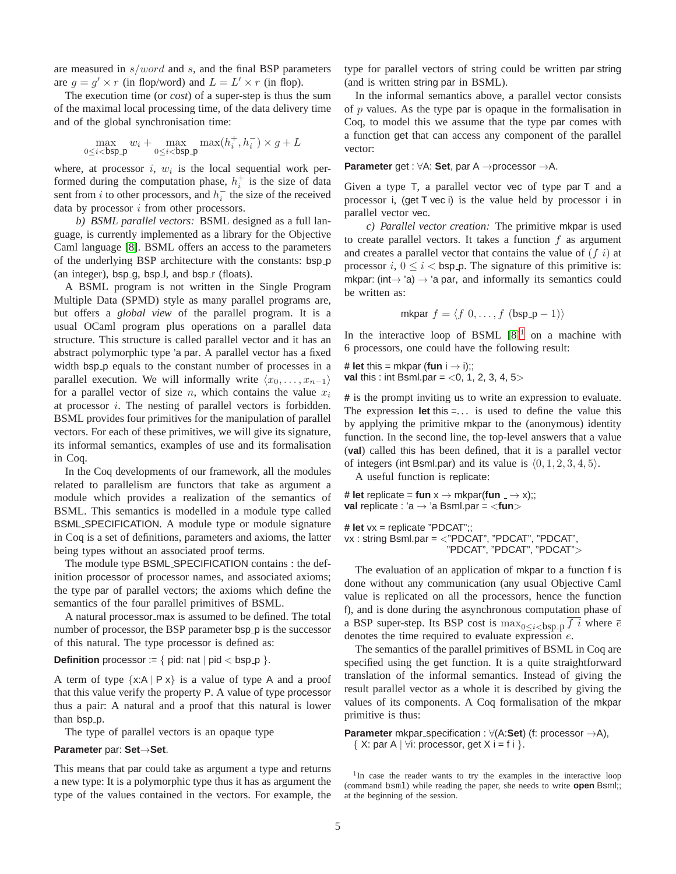are measured in  $s/word$  and s, and the final BSP parameters are  $g = g' \times r$  (in flop/word) and  $L = L' \times r$  (in flop).

The execution time (or *cost*) of a super-step is thus the sum of the maximal local processing time, of the data delivery time and of the global synchronisation time:

$$
\max_{0 \le i < b \text{sp-p}} w_i + \max_{0 \le i < b \text{sp-p}} \max(h_i^+, h_i^-) \times g + L
$$

where, at processor  $i$ ,  $w_i$  is the local sequential work performed during the computation phase,  $h_i^+$  is the size of data sent from *i* to other processors, and  $h_i^-$  the size of the received data by processor  $i$  from other processors.

*b) BSML parallel vectors:* BSML designed as a full language, is currently implemented as a library for the Objective Caml language [\[8\]](#page-8-5). BSML offers an access to the parameters of the underlying BSP architecture with the constants: bsp<sub>-</sub>p (an integer),  $bsp_g$ ,  $bsp_l$ , and  $bsp_r$  (floats).

A BSML program is not written in the Single Program Multiple Data (SPMD) style as many parallel programs are, but offers a *global view* of the parallel program. It is a usual OCaml program plus operations on a parallel data structure. This structure is called parallel vector and it has an abstract polymorphic type 'a par. A parallel vector has a fixed width bsp p equals to the constant number of processes in a parallel execution. We will informally write  $\langle x_0, \ldots, x_{n-1} \rangle$ for a parallel vector of size n, which contains the value  $x_i$ at processor  $i$ . The nesting of parallel vectors is forbidden. BSML provides four primitives for the manipulation of parallel vectors. For each of these primitives, we will give its signature, its informal semantics, examples of use and its formalisation in Coq.

In the Coq developments of our framework, all the modules related to parallelism are functors that take as argument a module which provides a realization of the semantics of BSML. This semantics is modelled in a module type called BSML SPECIFICATION. A module type or module signature in Coq is a set of definitions, parameters and axioms, the latter being types without an associated proof terms.

The module type BSML SPECIFICATION contains : the definition processor of processor names, and associated axioms; the type par of parallel vectors; the axioms which define the semantics of the four parallel primitives of BSML.

A natural processor max is assumed to be defined. The total number of processor, the BSP parameter bsp<sub>-</sub>p is the successor of this natural. The type processor is defined as:

**Definition** processor :=  $\{$  pid: nat  $|$  pid  $\langle$  bsp<sub>-</sub>p  $\rangle$ .

A term of type  $\{x:A \mid P x\}$  is a value of type A and a proof that this value verify the property P. A value of type processor thus a pair: A natural and a proof that this natural is lower than bsp\_p.

The type of parallel vectors is an opaque type

# **Parameter** par: **Set**→**Set**.

This means that par could take as argument a type and returns a new type: It is a polymorphic type thus it has as argument the type of the values contained in the vectors. For example, the type for parallel vectors of string could be written par string (and is written string par in BSML).

In the informal semantics above, a parallel vector consists of  $p$  values. As the type par is opaque in the formalisation in Coq, to model this we assume that the type par comes with a function get that can access any component of the parallel vector:

**Parameter** get : ∀A: **Set**, par A →processor →A.

Given a type T, a parallel vector vec of type par T and a processor i, (get T vec i) is the value held by processor i in parallel vector vec.

*c) Parallel vector creation:* The primitive mkpar is used to create parallel vectors. It takes a function  $f$  as argument and creates a parallel vector that contains the value of  $(f \mathbf{i})$  at processor i,  $0 \le i < b$ sp p. The signature of this primitive is: mkpar: (int $\rightarrow$  'a)  $\rightarrow$  'a par, and informally its semantics could be written as:

mkpar 
$$
f = \langle f \ 0, \ldots, f \ (bsp-p-1) \rangle
$$

In the interactive loop of BSML  $[8]$ <sup>[1](#page-4-0)</sup> on a machine with 6 processors, one could have the following result:

**# let** this = mkpar (fun  $i \rightarrow i$ );; **val** this : int Bsml.par =  $<$ 0, 1, 2, 3, 4, 5 $>$ 

**#** is the prompt inviting us to write an expression to evaluate. The expression **let** this =... is used to define the value this by applying the primitive mkpar to the (anonymous) identity function. In the second line, the top-level answers that a value (**val**) called this has been defined, that it is a parallel vector of integers (int Bsml.par) and its value is  $(0, 1, 2, 3, 4, 5)$ .

A useful function is replicate:

**# let** replicate = **fun**  $x \rightarrow m k$  mkpar(**fun**  $\Rightarrow x$ );; **val** replicate : 'a → 'a Bsml.par = <**fun**>

**# let** vx = replicate "PDCAT";; vx : string Bsml.par = <"PDCAT", "PDCAT", "PDCAT", "PDCAT", "PDCAT", "PDCAT">

The evaluation of an application of mkpar to a function f is done without any communication (any usual Objective Caml value is replicated on all the processors, hence the function f), and is done during the asynchronous computation phase of a BSP super-step. Its BSP cost is  $\max_{0 \le i < b$ sp<sub>-p</sub> f i where  $\overline{e}$ denotes the time required to evaluate expression e.

The semantics of the parallel primitives of BSML in Coq are specified using the get function. It is a quite straightforward translation of the informal semantics. Instead of giving the result parallel vector as a whole it is described by giving the values of its components. A Coq formalisation of the mkpar primitive is thus:

**Parameter** mkpar specification : ∀(A:**Set**) (f: processor →A),  $\{ X:$  par A  $\} \forall i$ : processor, get X i = f i  $\}$ .

<span id="page-4-0"></span><sup>1</sup>In case the reader wants to try the examples in the interactive loop (command bsml) while reading the paper, she needs to write **open** Bsml;; at the beginning of the session.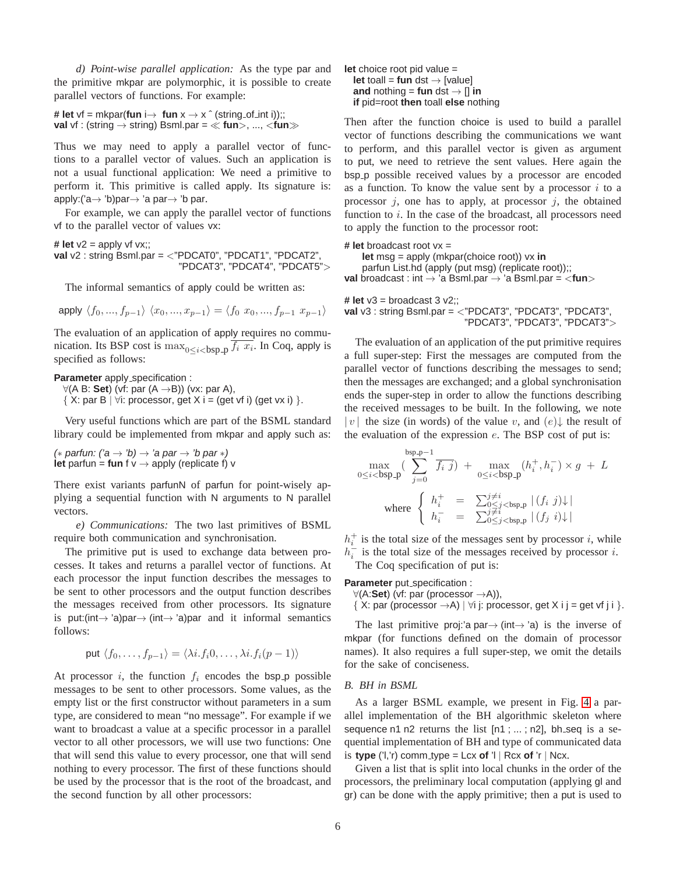*d) Point-wise parallel application:* As the type par and the primitive mkpar are polymorphic, it is possible to create parallel vectors of functions. For example:

**# let** vf = mkpar(**fun** i $\rightarrow$  **fun**  $x \rightarrow x$   $\hat{ }$  (string of int i));; **val** vf : (string → string) Bsml.par = ≪ **fun**>, ..., <**fun**≫

Thus we may need to apply a parallel vector of functions to a parallel vector of values. Such an application is not a usual functional application: We need a primitive to perform it. This primitive is called apply. Its signature is: apply:('a $\rightarrow$  'b)par $\rightarrow$  'a par $\rightarrow$  'b par.

For example, we can apply the parallel vector of functions vf to the parallel vector of values vx:

**# let**  $v2 =$  apply vf  $vx$ ;; **val** v2 : string Bsml.par = <"PDCAT0", "PDCAT1", "PDCAT2", "PDCAT3", "PDCAT4", "PDCAT5">

The informal semantics of apply could be written as:

apply  $\langle f_0, ..., f_{p-1} \rangle \langle x_0, ..., x_{p-1} \rangle = \langle f_0 \ x_0, ..., f_{p-1} \ x_{p-1} \rangle$ 

The evaluation of an application of apply requires no communication. Its BSP cost is  $\max_{0 \le i < b$ sp<sub>-P</sub>  $f_i$   $x_i$ . In Coq, apply is specified as follows:

**Parameter** apply\_specification :

∀(A B: **Set**) (vf: par (A →B)) (vx: par A), { X: par B |  $\forall i$ : processor, get X i = (get vf i) (get vx i) }.

Very useful functions which are part of the BSML standard library could be implemented from mkpar and apply such as:

(\* parfun: ('a  $\rightarrow$  'b)  $\rightarrow$  'a par  $\rightarrow$  'b par \*) **let** parfun = **fun** f  $v \rightarrow$  apply (replicate f)  $v$ 

There exist variants parfunN of parfun for point-wisely applying a sequential function with N arguments to N parallel vectors.

*e) Communications:* The two last primitives of BSML require both communication and synchronisation.

The primitive put is used to exchange data between processes. It takes and returns a parallel vector of functions. At each processor the input function describes the messages to be sent to other processors and the output function describes the messages received from other processors. Its signature is put:(int $\rightarrow$  'a)par $\rightarrow$  (int $\rightarrow$  'a)par and it informal semantics follows:

put 
$$
\langle f_0, \ldots, f_{p-1} \rangle = \langle \lambda i.f_i 0, \ldots, \lambda i.f_i (p-1) \rangle
$$

At processor i, the function  $f_i$  encodes the bsp p possible messages to be sent to other processors. Some values, as the empty list or the first constructor without parameters in a sum type, are considered to mean "no message". For example if we want to broadcast a value at a specific processor in a parallel vector to all other processors, we will use two functions: One that will send this value to every processor, one that will send nothing to every processor. The first of these functions should be used by the processor that is the root of the broadcast, and the second function by all other processors:

**let** choice root pid value = **let** toall = **fun** dst  $\rightarrow$  [value] **and** nothing = **fun** dst  $\rightarrow$  [] **in if** pid=root **then** toall **else** nothing

Then after the function choice is used to build a parallel vector of functions describing the communications we want to perform, and this parallel vector is given as argument to put, we need to retrieve the sent values. Here again the bsp<sub>p</sub> possible received values by a processor are encoded as a function. To know the value sent by a processor  $i$  to a processor  $j$ , one has to apply, at processor  $j$ , the obtained function to  $i$ . In the case of the broadcast, all processors need to apply the function to the processor root:

#### **# let** broadcast root vx =

**let** msg = apply (mkpar(choice root)) vx **in** parfun List.hd (apply (put msg) (replicate root));; **val** broadcast : int → 'a Bsml.par → 'a Bsml.par = <**fun**>

**# let**  $v3 =$  broadcast  $3 v2$ : **val** v3 : string Bsml.par = <"PDCAT3", "PDCAT3", "PDCAT3", "PDCAT3", "PDCAT3", "PDCAT3">

The evaluation of an application of the put primitive requires a full super-step: First the messages are computed from the parallel vector of functions describing the messages to send; then the messages are exchanged; and a global synchronisation ends the super-step in order to allow the functions describing the received messages to be built. In the following, we note | v| the size (in words) of the value v, and  $(e)$  the result of the evaluation of the expression  $e$ . The BSP cost of put is:

$$
\max_{0 \le i < b \text{sp.p}} \left( \sum_{j=0}^{\text{bsp.p}-1} \overline{f_i \ j} \right) + \max_{0 \le i < b \text{sp.p}} \left( h_i^+, h_i^- \right) \times g + L
$$
\n
$$
\text{where } \begin{cases} h_i^+ = \sum_{0 \le i < b \text{sp.p}} \left| (f_i \ j) \right| \\ h_i^- = \sum_{0 \le j < b \text{sp.p}} \left| (f_j \ i) \right| \end{cases}
$$

 $h_i^+$  is the total size of the messages sent by processor i, while  $h_i^-$  is the total size of the messages received by processor *i*. The Coq specification of put is:

**Parameter** put\_specification :

∀(A:**Set**) (vf: par (processor →A)),

{ X: par (processor  $\rightarrow$  A) |  $\forall$ i j: processor, get X i j = get vf j i }.

The last primitive proj:'a par $\rightarrow$  (int $\rightarrow$ 'a) is the inverse of mkpar (for functions defined on the domain of processor names). It also requires a full super-step, we omit the details for the sake of conciseness.

# *B. BH in BSML*

As a larger BSML example, we present in Fig. [4](#page-6-0) a parallel implementation of the BH algorithmic skeleton where sequence n1 n2 returns the list [n1 ; ... ; n2], bh\_seq is a sequential implementation of BH and type of communicated data is **type** ('l,'r) comm\_type = Lcx of 'l | Rcx of 'r | Ncx.

Given a list that is split into local chunks in the order of the processors, the preliminary local computation (applying gl and gr) can be done with the apply primitive; then a put is used to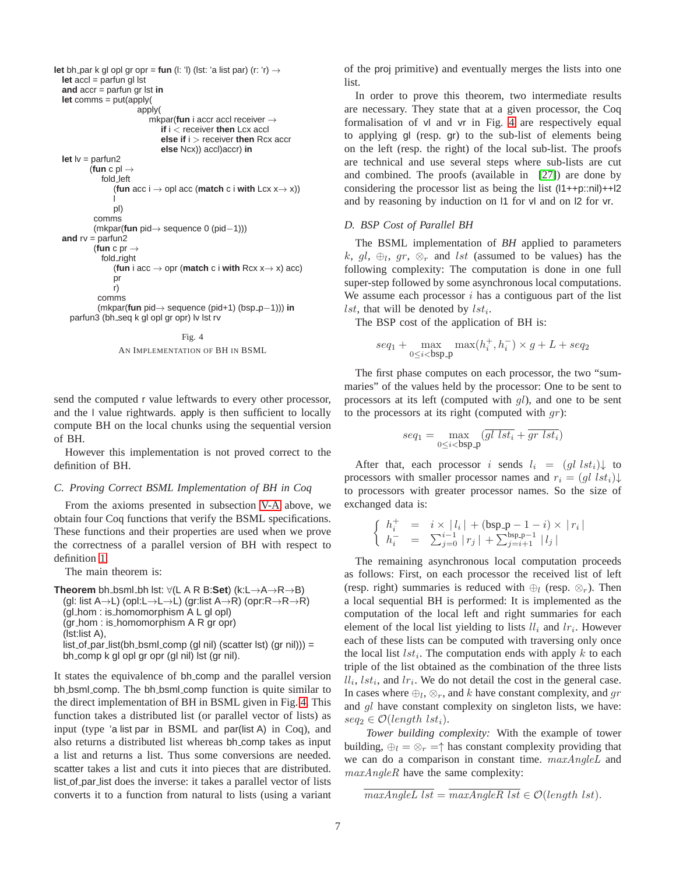```
let bh par k gl opl gr opr = fun (l: 'l) (lst: 'a list par) (r: 'r) \rightarrowlet accl = parfun gl lst
  and accr = parfun gr lst in
 let comms = put(apply(
                        apply(
                           mkpar(fun i accr accl receiver →
                               if i < receiver then Lcx accl
                               else if i > receiver then Rcx accr
                               else Ncx)) accl)accr) in
 let lv = parfun2
          (fun c pl \rightarrowfold left
                 (fun acc i \rightarrow opl acc (match c i with Lcx x \rightarrow x))
                 l
                 pl)
           comms
           (mkpar(fun pid→ sequence 0 (pid−1)))
  and rv = parfun2
           (fun c pr \rightarrowfold right
                 (fun i acc \rightarrow opr (match c i with Rcx x\rightarrow x) acc)
                 pr
                 r)
            comms
            (mkpar(fun pid→ sequence (pid+1) (bsp p−1))) in
    parfun3 (bh_seq k gl opl gr opr) lv lst rv
                                     Fig. 4
```
<span id="page-6-0"></span>AN IMPLEMENTATION OF BH IN BSML

send the computed r value leftwards to every other processor, and the l value rightwards. apply is then sufficient to locally compute BH on the local chunks using the sequential version of BH.

However this implementation is not proved correct to the definition of BH.

#### *C. Proving Correct BSML Implementation of BH in Coq*

From the axioms presented in subsection [V-A](#page-3-2) above, we obtain four Coq functions that verify the BSML specifications. These functions and their properties are used when we prove the correctness of a parallel version of BH with respect to definition [1.](#page-1-4)

The main theorem is:

```
Theorem bh bsml bh lst: ∀(L A R B:Set) (k:L→A→R→B)
  (gl: list A→L) (opl:L→L→L) (gr:list A→R) (opr:R→R→R)
  (gl hom : is homomorphism A L gl opl)
  (gr hom : is homomorphism A R gr opr)
  (lst:list A),
  list_of-par_list(bh_lpml.comp (ql nil) (scatter 1st) (qr nil)) =bh comp k gl opl gr opr (gl nil) lst (gr nil).
```
It states the equivalence of bh comp and the parallel version bh bsml comp. The bh bsml comp function is quite similar to the direct implementation of BH in BSML given in Fig. [4.](#page-6-0) This function takes a distributed list (or parallel vector of lists) as input (type 'a list par in BSML and par(list A) in Coq), and also returns a distributed list whereas bh comp takes as input a list and returns a list. Thus some conversions are needed. scatter takes a list and cuts it into pieces that are distributed. list of par list does the inverse: it takes a parallel vector of lists converts it to a function from natural to lists (using a variant of the proj primitive) and eventually merges the lists into one list.

In order to prove this theorem, two intermediate results are necessary. They state that at a given processor, the Coq formalisation of vl and vr in Fig. [4](#page-6-0) are respectively equal to applying gl (resp. gr) to the sub-list of elements being on the left (resp. the right) of the local sub-list. The proofs are technical and use several steps where sub-lists are cut and combined. The proofs (available in [\[27\]](#page-8-14)) are done by considering the processor list as being the list (l1++p::nil)++l2 and by reasoning by induction on l1 for vl and on l2 for vr.

# *D. BSP Cost of Parallel BH*

The BSML implementation of *BH* applied to parameters k, gl,  $\bigoplus_l$ , gr,  $\otimes_r$  and lst (assumed to be values) has the following complexity: The computation is done in one full super-step followed by some asynchronous local computations. We assume each processor  $i$  has a contiguous part of the list *lst*, that will be denoted by  $lst_i$ .

The BSP cost of the application of BH is:

$$
seq_1 + \max_{0 \le i < b \text{sp\_p}} \max(h_i^+, h_i^-) \times g + L + seq_2
$$

The first phase computes on each processor, the two "summaries" of the values held by the processor: One to be sent to processors at its left (computed with  $gl$ ), and one to be sent to the processors at its right (computed with  $gr$ ):

$$
seq_1 = \max_{0 \le i < b \text{sp-p}} (\overline{gl \; lst_i} + \overline{gr \; lst_i})
$$

After that, each processor i sends  $l_i = (gl \, lst_i) \downarrow$  to processors with smaller processor names and  $r_i = (ql \; lst_i)\downarrow$ to processors with greater processor names. So the size of exchanged data is:

$$
\left\{ \begin{array}{ccl} h_i^+ & = & i \times \left| l_i \right| + (\text{bsp.p}-1-i) \times \left| r_i \right| \\ h_i^- & = & \sum_{j=0}^{i-1} \left| r_j \right| + \sum_{j=i+1}^{\text{bsp.p}-1} \left| l_j \right| \end{array} \right.
$$

The remaining asynchronous local computation proceeds as follows: First, on each processor the received list of left (resp. right) summaries is reduced with  $\oplus_l$  (resp.  $\otimes_r$ ). Then a local sequential BH is performed: It is implemented as the computation of the local left and right summaries for each element of the local list yielding to lists  $ll_i$  and  $lr_i$ . However each of these lists can be computed with traversing only once the local list  $lst_i$ . The computation ends with apply  $k$  to each triple of the list obtained as the combination of the three lists  $ll_i, lst_i$ , and  $lr_i$ . We do not detail the cost in the general case. In cases where  $\bigoplus_l$ ,  $\otimes_r$ , and k have constant complexity, and gr and gl have constant complexity on singleton lists, we have:  $seq_2 \in \mathcal{O}(length \; lst_i).$ 

*Tower building complexity:* With the example of tower building,  $\bigoplus_l = \bigotimes_r = \uparrow$  has constant complexity providing that we can do a comparison in constant time.  $maxAngleL$  and maxAngleR have the same complexity:

 $\overline{maxAngleL}$  lst =  $\overline{maxAngleR}$  lst  $\in \mathcal{O}(length \; lst)$ .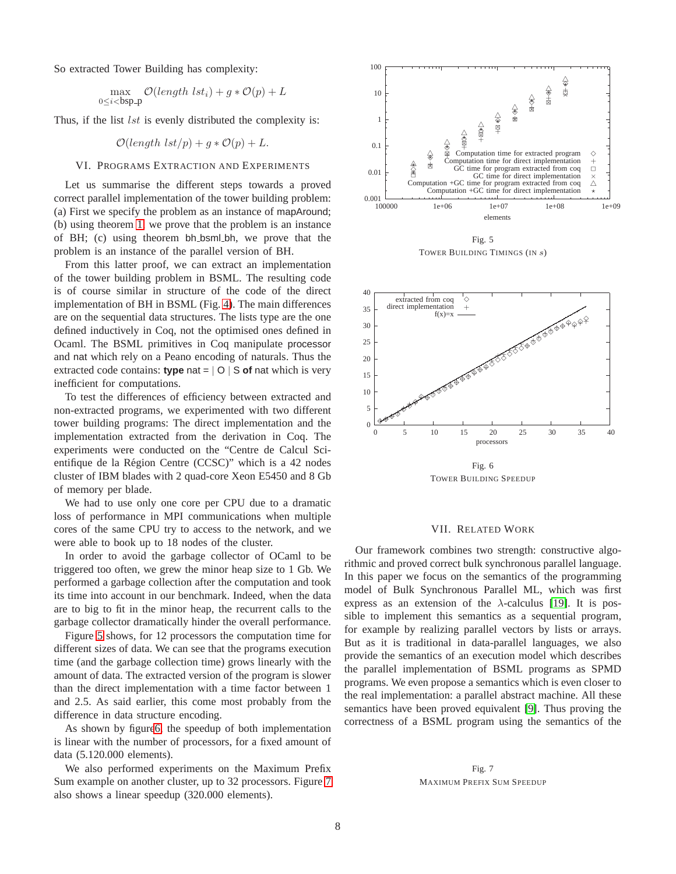So extracted Tower Building has complexity:

$$
\max_{0 \le i < b \text{sp-p}} \mathcal{O}(\text{length } \text{lst}_i) + g * \mathcal{O}(p) + L
$$

Thus, if the list  $lst$  is evenly distributed the complexity is:

$$
\mathcal{O}(length \, lst/p) + g * \mathcal{O}(p) + L.
$$

## <span id="page-7-0"></span>VI. PROGRAMS EXTRACTION AND EXPERIMENTS

Let us summarise the different steps towards a proved correct parallel implementation of the tower building problem: (a) First we specify the problem as an instance of mapAround; (b) using theorem [1,](#page-2-1) we prove that the problem is an instance of BH; (c) using theorem bh bsml bh, we prove that the problem is an instance of the parallel version of BH.

From this latter proof, we can extract an implementation of the tower building problem in BSML. The resulting code is of course similar in structure of the code of the direct implementation of BH in BSML (Fig. [4\)](#page-6-0). The main differences are on the sequential data structures. The lists type are the one defined inductively in Coq, not the optimised ones defined in Ocaml. The BSML primitives in Coq manipulate processor and nat which rely on a Peano encoding of naturals. Thus the extracted code contains: **type** nat = | O | S **of** nat which is very inefficient for computations.

To test the differences of efficiency between extracted and non-extracted programs, we experimented with two different tower building programs: The direct implementation and the implementation extracted from the derivation in Coq. The experiments were conducted on the "Centre de Calcul Scientifique de la Region Centre (CCSC)" which is a 42 nodes ´ cluster of IBM blades with 2 quad-core Xeon E5450 and 8 Gb of memory per blade.

We had to use only one core per CPU due to a dramatic loss of performance in MPI communications when multiple cores of the same CPU try to access to the network, and we were able to book up to 18 nodes of the cluster.

In order to avoid the garbage collector of OCaml to be triggered too often, we grew the minor heap size to 1 Gb. We performed a garbage collection after the computation and took its time into account in our benchmark. Indeed, when the data are to big to fit in the minor heap, the recurrent calls to the garbage collector dramatically hinder the overall performance.

Figure [5](#page-7-1) shows, for 12 processors the computation time for different sizes of data. We can see that the programs execution time (and the garbage collection time) grows linearly with the amount of data. The extracted version of the program is slower than the direct implementation with a time factor between 1 and 2.5. As said earlier, this come most probably from the difference in data structure encoding.

As shown by figur[e6,](#page-7-2) the speedup of both implementation is linear with the number of processors, for a fixed amount of data (5.120.000 elements).

We also performed experiments on the Maximum Prefix Sum example on another cluster, up to 32 processors. Figure [7](#page-7-3) also shows a linear speedup (320.000 elements).



<span id="page-7-1"></span>

<span id="page-7-2"></span>Fig. 6 TOWER BUILDING SPEEDUP

## VII. RELATED WORK

Our framework combines two strength: constructive algorithmic and proved correct bulk synchronous parallel language. In this paper we focus on the semantics of the programming model of Bulk Synchronous Parallel ML, which was first express as an extension of the  $\lambda$ -calculus [\[19\]](#page-8-18). It is possible to implement this semantics as a sequential program, for example by realizing parallel vectors by lists or arrays. But as it is traditional in data-parallel languages, we also provide the semantics of an execution model which describes the parallel implementation of BSML programs as SPMD programs. We even propose a semantics which is even closer to the real implementation: a parallel abstract machine. All these semantics have been proved equivalent [\[9\]](#page-8-19). Thus proving the correctness of a BSML program using the semantics of the

<span id="page-7-3"></span>Fig. 7 MAXIMUM PREFIX SUM SPEEDUP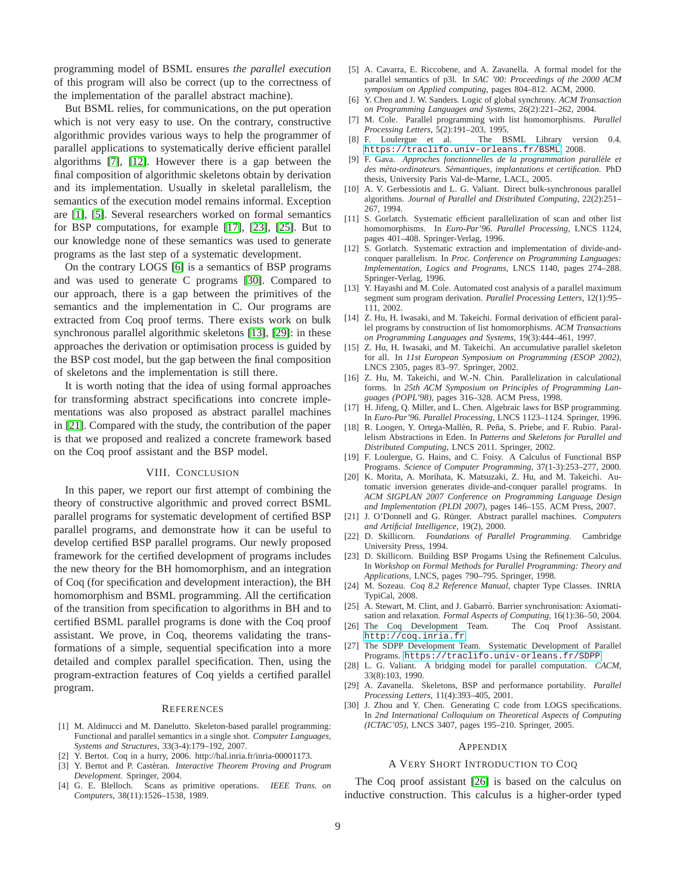programming model of BSML ensures *the parallel execution* of this program will also be correct (up to the correctness of the implementation of the parallel abstract machine).

But BSML relies, for communications, on the put operation which is not very easy to use. On the contrary, constructive algorithmic provides various ways to help the programmer of parallel applications to systematically derive efficient parallel algorithms [\[7\]](#page-8-7), [\[12\]](#page-8-8). However there is a gap between the final composition of algorithmic skeletons obtain by derivation and its implementation. Usually in skeletal parallelism, the semantics of the execution model remains informal. Exception are [\[1\]](#page-8-20), [\[5\]](#page-8-21). Several researchers worked on formal semantics for BSP computations, for example [\[17\]](#page-8-22), [\[23\]](#page-8-23), [\[25\]](#page-8-24). But to our knowledge none of these semantics was used to generate programs as the last step of a systematic development.

On the contrary LOGS [\[6\]](#page-8-25) is a semantics of BSP programs and was used to generate C programs [\[30\]](#page-8-26). Compared to our approach, there is a gap between the primitives of the semantics and the implementation in C. Our programs are extracted from Coq proof terms. There exists work on bulk synchronous parallel algorithmic skeletons [\[13\]](#page-8-27), [\[29\]](#page-8-28): in these approaches the derivation or optimisation process is guided by the BSP cost model, but the gap between the final composition of skeletons and the implementation is still there.

It is worth noting that the idea of using formal approaches for transforming abstract specifications into concrete implementations was also proposed as abstract parallel machines in [\[21\]](#page-8-29). Compared with the study, the contribution of the paper is that we proposed and realized a concrete framework based on the Coq proof assistant and the BSP model.

## VIII. CONCLUSION

In this paper, we report our first attempt of combining the theory of constructive algorithmic and proved correct BSML parallel programs for systematic development of certified BSP parallel programs, and demonstrate how it can be useful to develop certified BSP parallel programs. Our newly proposed framework for the certified development of programs includes the new theory for the BH homomorphism, and an integration of Coq (for specification and development interaction), the BH homomorphism and BSML programming. All the certification of the transition from specification to algorithms in BH and to certified BSML parallel programs is done with the Coq proof assistant. We prove, in Coq, theorems validating the transformations of a simple, sequential specification into a more detailed and complex parallel specification. Then, using the program-extraction features of Coq yields a certified parallel program.

## **REFERENCES**

- <span id="page-8-20"></span>[1] M. Aldinucci and M. Danelutto. Skeleton-based parallel programming: Functional and parallel semantics in a single shot. *Computer Languages, Systems and Structures*, 33(3-4):179–192, 2007.
- <span id="page-8-16"></span><span id="page-8-15"></span>Y. Bertot. Coq in a hurry, 2006. http://hal.inria.fr/inria-00001173.
- [3] Y. Bertot and P. Castéran. *Interactive Theorem Proving and Program Development*. Springer, 2004.
- <span id="page-8-4"></span>[4] G. E. Blelloch. Scans as primitive operations. *IEEE Trans. on Computers*, 38(11):1526–1538, 1989.
- <span id="page-8-21"></span>[5] A. Cavarra, E. Riccobene, and A. Zavanella. A formal model for the parallel semantics of p3l. In *SAC '00: Proceedings of the 2000 ACM symposium on Applied computing*, pages 804–812. ACM, 2000.
- <span id="page-8-25"></span>[6] Y. Chen and J. W. Sanders. Logic of global synchrony. *ACM Transaction on Programming Languages and Systems*, 26(2):221–262, 2004.
- <span id="page-8-7"></span>[7] M. Cole. Parallel programming with list homomorphisms. *Parallel Processing Letters*, 5(2):191–203, 1995.
- <span id="page-8-5"></span>[8] F. Loulergue et al. The BSML Library version 0.4. <https://traclifo.univ-orleans.fr/BSML>, 2008.
- <span id="page-8-19"></span>[9] F. Gava. *Approches fonctionnelles de la programmation parallele et ´ des meta-ordinateurs. S ´ emantiques, implantations et certification. ´* PhD thesis, University Paris Val-de-Marne, LACL, 2005.
- <span id="page-8-2"></span>[10] A. V. Gerbessiotis and L. G. Valiant. Direct bulk-synchronous parallel algorithms. *Journal of Parallel and Distributed Computing*, 22(2):251– 267, 1994.
- <span id="page-8-12"></span>[11] S. Gorlatch. Systematic efficient parallelization of scan and other list homomorphisms. In *Euro-Par'96. Parallel Processing*, LNCS 1124, pages 401–408. Springer-Verlag, 1996.
- <span id="page-8-8"></span>[12] S. Gorlatch. Systematic extraction and implementation of divide-andconquer parallelism. In *Proc. Conference on Programming Languages: Implementation, Logics and Programs*, LNCS 1140, pages 274–288. Springer-Verlag, 1996.
- <span id="page-8-27"></span>[13] Y. Hayashi and M. Cole. Automated cost analysis of a parallel maximum segment sum program derivation. *Parallel Processing Letters*, 12(1):95– 111, 2002.
- <span id="page-8-9"></span>[14] Z. Hu, H. Iwasaki, and M. Takeichi. Formal derivation of efficient parallel programs by construction of list homomorphisms. *ACM Transactions on Programming Languages and Systems*, 19(3):444–461, 1997.
- <span id="page-8-13"></span>[15] Z. Hu, H. Iwasaki, and M. Takeichi. An accumulative parallel skeleton for all. In *11st European Symposium on Programming (ESOP 2002)*, LNCS 2305, pages 83–97. Springer, 2002.
- <span id="page-8-10"></span>[16] Z. Hu, M. Takeichi, and W.-N. Chin. Parallelization in calculational forms. In *25th ACM Symposium on Principles of Programming Languages (POPL'98)*, pages 316–328. ACM Press, 1998.
- <span id="page-8-22"></span>[17] H. Jifeng, Q. Miller, and L. Chen. Algebraic laws for BSP programming. In *Euro-Par'96. Parallel Processing*, LNCS 1123–1124. Springer, 1996.
- <span id="page-8-0"></span>[18] R. Loogen, Y. Ortega-Mallén, R. Peña, S. Priebe, and F. Rubio. Parallelism Abstractions in Eden. In *Patterns and Skeletons for Parallel and Distributed Computing*, LNCS 2011. Springer, 2002.
- <span id="page-8-18"></span>[19] F. Loulergue, G. Hains, and C. Foisy. A Calculus of Functional BSP Programs. *Science of Computer Programming*, 37(1-3):253–277, 2000.
- <span id="page-8-11"></span>[20] K. Morita, A. Morihata, K. Matsuzaki, Z. Hu, and M. Takeichi. Automatic inversion generates divide-and-conquer parallel programs. In *ACM SIGPLAN 2007 Conference on Programming Language Design and Implementation (PLDI 2007)*, pages 146–155. ACM Press, 2007.
- <span id="page-8-29"></span>[21] J. O'Donnell and G. Rünger. Abstract parallel machines. Computers *and Artificial Intelligence*, 19(2), 2000.
- <span id="page-8-1"></span>[22] D. Skillicorn. *Foundations of Parallel Programming*. Cambridge University Press, 1994.
- <span id="page-8-23"></span>[23] D. Skillicorn. Building BSP Progams Using the Refinement Calculus. In *Workshop on Formal Methods for Parallel Programming: Theory and Applications*, LNCS, pages 790–795. Springer, 1998.
- <span id="page-8-17"></span>[24] M. Sozeau. *Coq 8.2 Reference Manual*, chapter Type Classes. INRIA TypiCal, 2008.
- <span id="page-8-24"></span>[25] A. Stewart, M. Clint, and J. Gabarró. Barrier synchronisation: Axiomatisation and relaxation. *Formal Aspects of Computing*, 16(1):36–50, 2004.
- <span id="page-8-6"></span>[26] The Coq Development Team. The Coq Proof Assistant. <http://coq.inria.fr>.
- <span id="page-8-14"></span>[27] The SDPP Development Team. Systematic Development of Parallel Programs. <https://traclifo.univ-orleans.fr/SDPP>.
- <span id="page-8-3"></span>[28] L. G. Valiant. A bridging model for parallel computation. *CACM*, 33(8):103, 1990.
- <span id="page-8-28"></span>[29] A. Zavanella. Skeletons, BSP and performance portability. *Parallel Processing Letters*, 11(4):393–405, 2001.
- <span id="page-8-26"></span>[30] J. Zhou and Y. Chen. Generating C code from LOGS specifications. In *2nd International Colloquium on Theoretical Aspects of Computing (ICTAC'05)*, LNCS 3407, pages 195–210. Springer, 2005.

#### APPENDIX

## A VERY SHORT INTRODUCTION TO COQ

The Coq proof assistant [\[26\]](#page-8-6) is based on the calculus on inductive construction. This calculus is a higher-order typed